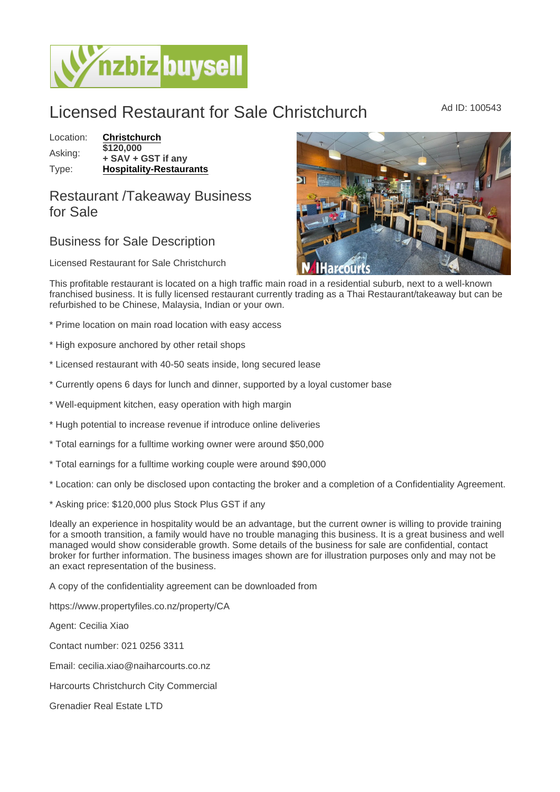## Licensed Restaurant for Sale Christchurch Ad ID: 100543

## Location: [Christchurch](https://www.nzbizbuysell.co.nz/businesses-for-sale/location/Christchurch)

Asking: \$120,000 + SAV + GST if any Type: [Hospitality-Restaurants](https://www.nzbizbuysell.co.nz/businesses-for-sale/Restaurants/New-Zealand)

## Restaurant /Takeaway Business for Sale

## Business for Sale Description

Licensed Restaurant for Sale Christchurch

This profitable restaurant is located on a high traffic main road in a residential suburb, next to a well-known franchised business. It is fully licensed restaurant currently trading as a Thai Restaurant/takeaway but can be refurbished to be Chinese, Malaysia, Indian or your own.

\* Prime location on main road location with easy access

- \* High exposure anchored by other retail shops
- \* Licensed restaurant with 40-50 seats inside, long secured lease
- \* Currently opens 6 days for lunch and dinner, supported by a loyal customer base
- \* Well-equipment kitchen, easy operation with high margin
- \* Hugh potential to increase revenue if introduce online deliveries
- \* Total earnings for a fulltime working owner were around \$50,000
- \* Total earnings for a fulltime working couple were around \$90,000
- \* Location: can only be disclosed upon contacting the broker and a completion of a Confidentiality Agreement.
- \* Asking price: \$120,000 plus Stock Plus GST if any

Ideally an experience in hospitality would be an advantage, but the current owner is willing to provide training for a smooth transition, a family would have no trouble managing this business. It is a great business and well managed would show considerable growth. Some details of the business for sale are confidential, contact broker for further information. The business images shown are for illustration purposes only and may not be an exact representation of the business.

A copy of the confidentiality agreement can be downloaded from

https://www.propertyfiles.co.nz/property/CA

Agent: Cecilia Xiao

Contact number: 021 0256 3311

Email: cecilia.xiao@naiharcourts.co.nz

Harcourts Christchurch City Commercial

Grenadier Real Estate LTD